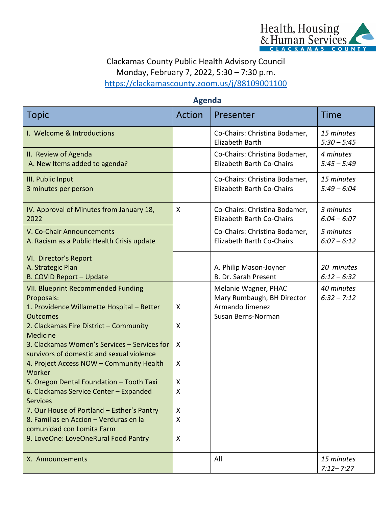

## Clackamas County Public Health Advisory Council Monday, February 7, 2022, 5:30 – 7:30 p.m. <https://clackamascounty.zoom.us/j/88109001100>

## **Agenda**

| <b>Topic</b>                                                                                                                                                                                                                                                                                                                                                                                                                                                                                                                                                                                            | Action                                    | Presenter                                                                                   | Time                        |  |
|---------------------------------------------------------------------------------------------------------------------------------------------------------------------------------------------------------------------------------------------------------------------------------------------------------------------------------------------------------------------------------------------------------------------------------------------------------------------------------------------------------------------------------------------------------------------------------------------------------|-------------------------------------------|---------------------------------------------------------------------------------------------|-----------------------------|--|
| I. Welcome & Introductions                                                                                                                                                                                                                                                                                                                                                                                                                                                                                                                                                                              |                                           | Co-Chairs: Christina Bodamer,<br>Elizabeth Barth                                            | 15 minutes<br>$5:30 - 5:45$ |  |
| II. Review of Agenda<br>A. New Items added to agenda?                                                                                                                                                                                                                                                                                                                                                                                                                                                                                                                                                   |                                           | Co-Chairs: Christina Bodamer,<br>Elizabeth Barth Co-Chairs                                  | 4 minutes<br>$5:45 - 5:49$  |  |
| III. Public Input<br>3 minutes per person                                                                                                                                                                                                                                                                                                                                                                                                                                                                                                                                                               |                                           | Co-Chairs: Christina Bodamer,<br>Elizabeth Barth Co-Chairs                                  | 15 minutes<br>$5:49 - 6:04$ |  |
| IV. Approval of Minutes from January 18,<br>2022                                                                                                                                                                                                                                                                                                                                                                                                                                                                                                                                                        | X                                         | Co-Chairs: Christina Bodamer,<br>Elizabeth Barth Co-Chairs                                  | 3 minutes<br>$6:04 - 6:07$  |  |
| V. Co-Chair Announcements<br>A. Racism as a Public Health Crisis update                                                                                                                                                                                                                                                                                                                                                                                                                                                                                                                                 |                                           | Co-Chairs: Christina Bodamer,<br><b>Elizabeth Barth Co-Chairs</b>                           | 5 minutes<br>$6:07 - 6:12$  |  |
| VI. Director's Report<br>A. Strategic Plan<br><b>B. COVID Report - Update</b>                                                                                                                                                                                                                                                                                                                                                                                                                                                                                                                           |                                           | A. Philip Mason-Joyner<br>B. Dr. Sarah Present                                              | 20 minutes<br>$6:12 - 6:32$ |  |
| <b>VII. Blueprint Recommended Funding</b><br>Proposals:<br>1. Providence Willamette Hospital - Better<br><b>Outcomes</b><br>2. Clackamas Fire District - Community<br>Medicine<br>3. Clackamas Women's Services - Services for<br>survivors of domestic and sexual violence<br>4. Project Access NOW - Community Health<br>Worker<br>5. Oregon Dental Foundation - Tooth Taxi<br>6. Clackamas Service Center - Expanded<br><b>Services</b><br>7. Our House of Portland - Esther's Pantry<br>8. Familias en Accion - Verduras en la<br>comunidad con Lomita Farm<br>9. LoveOne: LoveOneRural Food Pantry | X<br>X<br>X<br>X<br>X<br>Χ<br>X<br>X<br>X | Melanie Wagner, PHAC<br>Mary Rumbaugh, BH Director<br>Armando Jimenez<br>Susan Berns-Norman | 40 minutes<br>$6:32 - 7:12$ |  |
| X. Announcements                                                                                                                                                                                                                                                                                                                                                                                                                                                                                                                                                                                        |                                           | All                                                                                         | 15 minutes<br>$7:12 - 7:27$ |  |